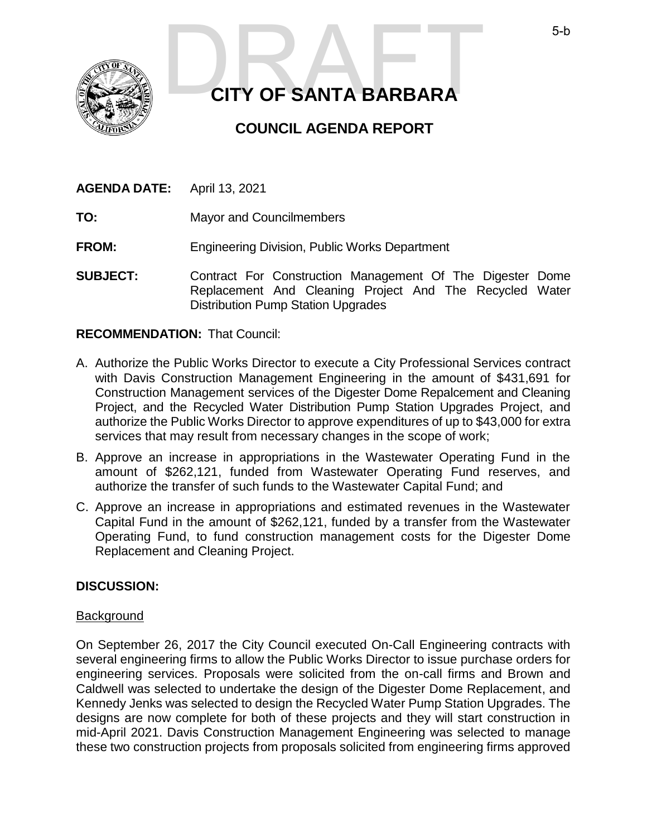

# **CITY OF SANTA BARBARA** 5-b<br>CITY OF SANTA BARBARA

# **COUNCIL AGENDA REPORT**

| <b>AGENDA DATE:</b> | April 13, 2021 |
|---------------------|----------------|
|                     |                |

**TO:** Mayor and Councilmembers

**FROM:** Engineering Division, Public Works Department

**SUBJECT:** Contract For Construction Management Of The Digester Dome Replacement And Cleaning Project And The Recycled Water Distribution Pump Station Upgrades

#### **RECOMMENDATION:** That Council:

- A. Authorize the Public Works Director to execute a City Professional Services contract with Davis Construction Management Engineering in the amount of \$431,691 for Construction Management services of the Digester Dome Repalcement and Cleaning Project, and the Recycled Water Distribution Pump Station Upgrades Project, and authorize the Public Works Director to approve expenditures of up to \$43,000 for extra services that may result from necessary changes in the scope of work;
- B. Approve an increase in appropriations in the Wastewater Operating Fund in the amount of \$262,121, funded from Wastewater Operating Fund reserves, and authorize the transfer of such funds to the Wastewater Capital Fund; and
- C. Approve an increase in appropriations and estimated revenues in the Wastewater Capital Fund in the amount of \$262,121, funded by a transfer from the Wastewater Operating Fund, to fund construction management costs for the Digester Dome Replacement and Cleaning Project.

# **DISCUSSION:**

#### **Background**

On September 26, 2017 the City Council executed On-Call Engineering contracts with several engineering firms to allow the Public Works Director to issue purchase orders for engineering services. Proposals were solicited from the on-call firms and Brown and Caldwell was selected to undertake the design of the Digester Dome Replacement, and Kennedy Jenks was selected to design the Recycled Water Pump Station Upgrades. The designs are now complete for both of these projects and they will start construction in mid-April 2021. Davis Construction Management Engineering was selected to manage these two construction projects from proposals solicited from engineering firms approved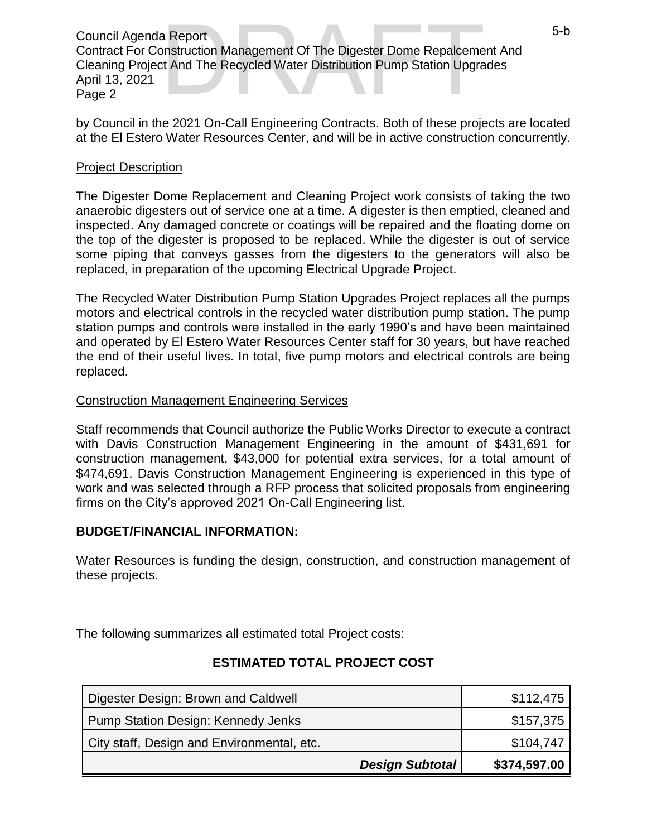Council Agenda Report Contract For Construction Management Of The Digester Dome Repalcement And Cleaning Project And The Recycled Water Distribution Pump Station Upgrades April 13, 2021 Page 2 3 Report<br>
Distruction Management Of The Digester Dome Repalcement And<br>
It And The Recycled Water Distribution Pump Station Upgrades<br>
Distribution Pump Station Upgrades

by Council in the 2021 On-Call Engineering Contracts. Both of these projects are located at the El Estero Water Resources Center, and will be in active construction concurrently.

# Project Description

The Digester Dome Replacement and Cleaning Project work consists of taking the two anaerobic digesters out of service one at a time. A digester is then emptied, cleaned and inspected. Any damaged concrete or coatings will be repaired and the floating dome on the top of the digester is proposed to be replaced. While the digester is out of service some piping that conveys gasses from the digesters to the generators will also be replaced, in preparation of the upcoming Electrical Upgrade Project.

The Recycled Water Distribution Pump Station Upgrades Project replaces all the pumps motors and electrical controls in the recycled water distribution pump station. The pump station pumps and controls were installed in the early 1990's and have been maintained and operated by El Estero Water Resources Center staff for 30 years, but have reached the end of their useful lives. In total, five pump motors and electrical controls are being replaced.

# Construction Management Engineering Services

Staff recommends that Council authorize the Public Works Director to execute a contract with Davis Construction Management Engineering in the amount of \$431,691 for construction management, \$43,000 for potential extra services, for a total amount of \$474,691. Davis Construction Management Engineering is experienced in this type of work and was selected through a RFP process that solicited proposals from engineering firms on the City's approved 2021 On-Call Engineering list.

# **BUDGET/FINANCIAL INFORMATION:**

Water Resources is funding the design, construction, and construction management of these projects.

The following summarizes all estimated total Project costs:

| Digester Design: Brown and Caldwell        | \$112,475    |
|--------------------------------------------|--------------|
| <b>Pump Station Design: Kennedy Jenks</b>  | \$157,375    |
| City staff, Design and Environmental, etc. | \$104,747    |
| <b>Design Subtotal</b>                     | \$374,597.00 |

# **ESTIMATED TOTAL PROJECT COST**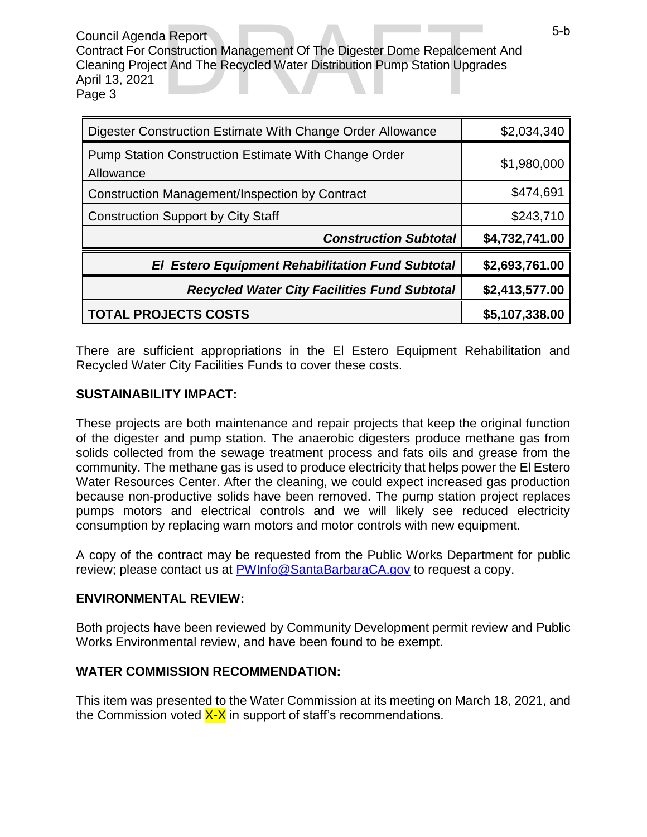Council Agenda Report Contract For Construction Management Of The Digester Dome Repalcement And Cleaning Project And The Recycled Water Distribution Pump Station Upgrades April 13, 2021 Page 3 3 Report<br>
Distruction Management Of The Digester Dome Repalcement And<br>
It And The Recycled Water Distribution Pump Station Upgrades<br>
Distribution Pump Station Upgrades

| Digester Construction Estimate With Change Order Allowance               | \$2,034,340    |
|--------------------------------------------------------------------------|----------------|
| <b>Pump Station Construction Estimate With Change Order</b><br>Allowance | \$1,980,000    |
| Construction Management/Inspection by Contract                           | \$474,691      |
| <b>Construction Support by City Staff</b>                                | \$243,710      |
| <b>Construction Subtotal</b>                                             | \$4,732,741.00 |
| <b>El Estero Equipment Rehabilitation Fund Subtotal</b>                  | \$2,693,761.00 |
| <b>Recycled Water City Facilities Fund Subtotal</b>                      | \$2,413,577.00 |
| <b>TOTAL PROJECTS COSTS</b>                                              | \$5,107,338.00 |

There are sufficient appropriations in the El Estero Equipment Rehabilitation and Recycled Water City Facilities Funds to cover these costs.

# **SUSTAINABILITY IMPACT:**

These projects are both maintenance and repair projects that keep the original function of the digester and pump station. The anaerobic digesters produce methane gas from solids collected from the sewage treatment process and fats oils and grease from the community. The methane gas is used to produce electricity that helps power the El Estero Water Resources Center. After the cleaning, we could expect increased gas production because non-productive solids have been removed. The pump station project replaces pumps motors and electrical controls and we will likely see reduced electricity consumption by replacing warn motors and motor controls with new equipment.

A copy of the contract may be requested from the Public Works Department for public review; please contact us at **PWInfo@SantaBarbaraCA.gov** to request a copy.

# **ENVIRONMENTAL REVIEW:**

Both projects have been reviewed by Community Development permit review and Public Works Environmental review, and have been found to be exempt.

# **WATER COMMISSION RECOMMENDATION:**

This item was presented to the Water Commission at its meeting on March 18, 2021, and the Commission voted  $X-X$  in support of staff's recommendations.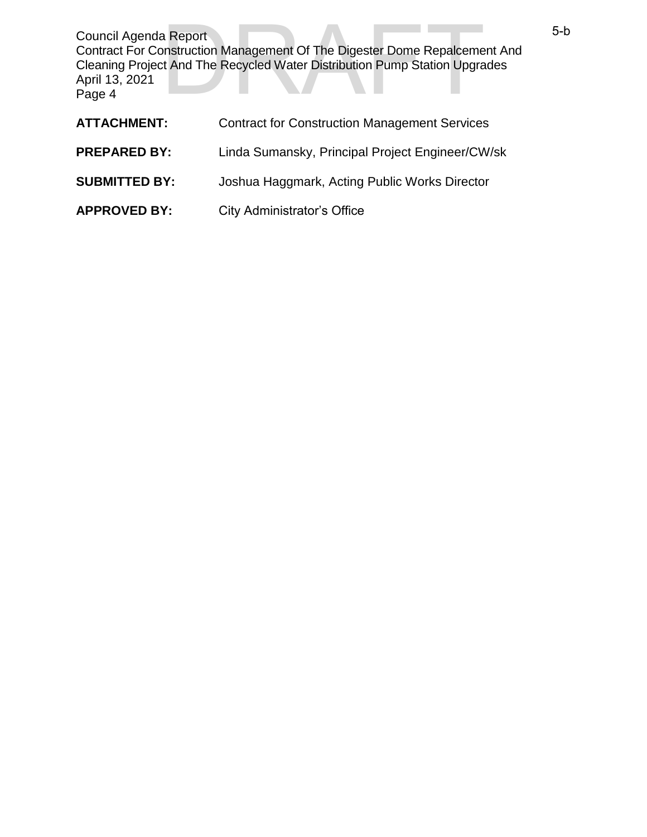Council Agenda Report Contract For Construction Management Of The Digester Dome Repalcement And Cleaning Project And The Recycled Water Distribution Pump Station Upgrades April 13, 2021 Page 4 3 Report<br>
Distruction Management Of The Digester Dome Repalcement And<br>
It And The Recycled Water Distribution Pump Station Upgrades<br>
Distribution Pump Station Upgrades

| <b>ATTACHMENT:</b>   | <b>Contract for Construction Management Services</b> |
|----------------------|------------------------------------------------------|
| <b>PREPARED BY:</b>  | Linda Sumansky, Principal Project Engineer/CW/sk     |
| <b>SUBMITTED BY:</b> | Joshua Haggmark, Acting Public Works Director        |
| <b>APPROVED BY:</b>  | <b>City Administrator's Office</b>                   |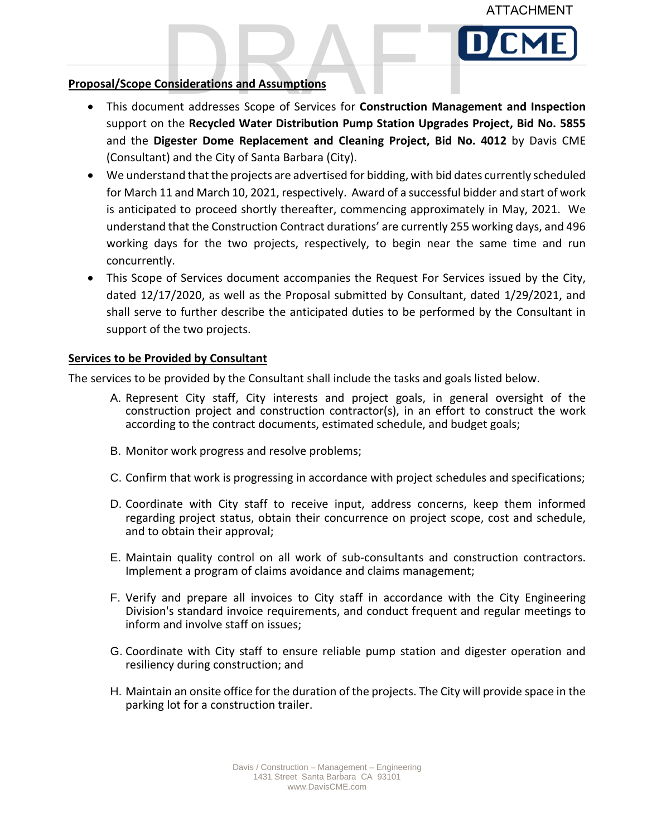

#### **Proposal/Scope Considerations and Assumptions**

- FRAFT DOSS ALT SCOPE CONSIDERATIONS and Assumptions<br>
This document addresses Scope of Services for Construction Management and Inspection support on the **Recycled Water Distribution Pump Station Upgrades Project, Bid No. 5855** and the **Digester Dome Replacement and Cleaning Project, Bid No. 4012** by Davis CME (Consultant) and the City of Santa Barbara (City).
- We understand that the projects are advertised for bidding, with bid dates currently scheduled for March 11 and March 10, 2021, respectively. Award of a successful bidder and start of work is anticipated to proceed shortly thereafter, commencing approximately in May, 2021. We understand that the Construction Contract durations' are currently 255 working days, and 496 working days for the two projects, respectively, to begin near the same time and run concurrently.
- This Scope of Services document accompanies the Request For Services issued by the City, dated 12/17/2020, as well as the Proposal submitted by Consultant, dated 1/29/2021, and shall serve to further describe the anticipated duties to be performed by the Consultant in support of the two projects.

#### **Services to be Provided by Consultant**

The services to be provided by the Consultant shall include the tasks and goals listed below.

- A. Represent City staff, City interests and project goals, in general oversight of the construction project and construction contractor(s), in an effort to construct the work according to the contract documents, estimated schedule, and budget goals;
- B. Monitor work progress and resolve problems;
- C. Confirm that work is progressing in accordance with project schedules and specifications;
- D. Coordinate with City staff to receive input, address concerns, keep them informed regarding project status, obtain their concurrence on project scope, cost and schedule, and to obtain their approval;
- E. Maintain quality control on all work of sub-consultants and construction contractors. Implement a program of claims avoidance and claims management;
- F. Verify and prepare all invoices to City staff in accordance with the City Engineering Division's standard invoice requirements, and conduct frequent and regular meetings to inform and involve staff on issues;
- G. Coordinate with City staff to ensure reliable pump station and digester operation and resiliency during construction; and
- H. Maintain an onsite office for the duration of the projects. The City will provide space in the parking lot for a construction trailer.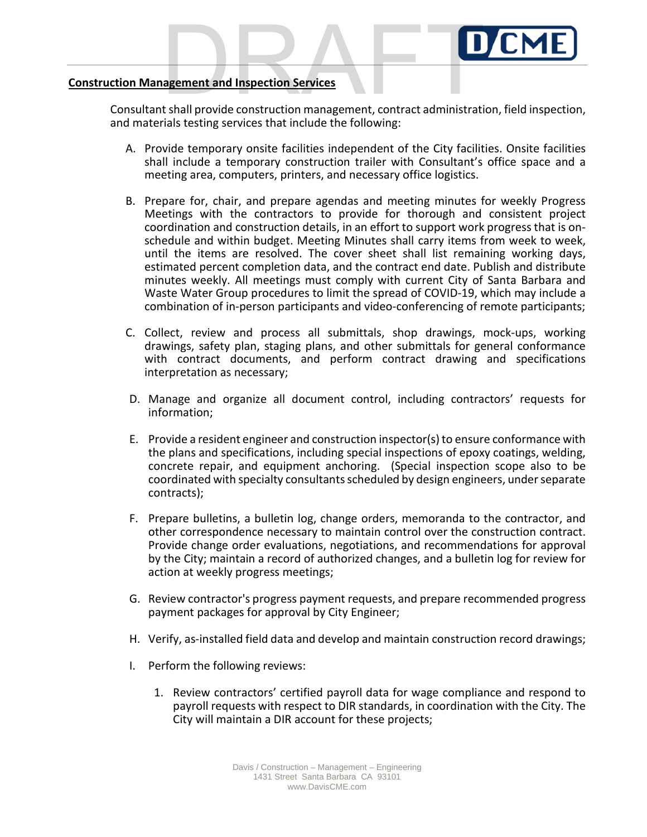

#### **Construction Management and Inspection Services**

CONSTRUM CONSULTANT CONSULTANT CONSULTANT CONSULTANT CONSULTANT SHALL provide construction management, contract administration, field inspection, and materials testing services that include the following:

- A. Provide temporary onsite facilities independent of the City facilities. Onsite facilities shall include a temporary construction trailer with Consultant's office space and a meeting area, computers, printers, and necessary office logistics.
- B. Prepare for, chair, and prepare agendas and meeting minutes for weekly Progress Meetings with the contractors to provide for thorough and consistent project coordination and construction details, in an effort to support work progress that is onschedule and within budget. Meeting Minutes shall carry items from week to week, until the items are resolved. The cover sheet shall list remaining working days, estimated percent completion data, and the contract end date. Publish and distribute minutes weekly. All meetings must comply with current City of Santa Barbara and Waste Water Group procedures to limit the spread of COVID-19, which may include a combination of in-person participants and video-conferencing of remote participants;
- C. Collect, review and process all submittals, shop drawings, mock-ups, working drawings, safety plan, staging plans, and other submittals for general conformance with contract documents, and perform contract drawing and specifications interpretation as necessary;
- D. Manage and organize all document control, including contractors' requests for information;
- E. Provide a resident engineer and construction inspector(s) to ensure conformance with the plans and specifications, including special inspections of epoxy coatings, welding, concrete repair, and equipment anchoring. (Special inspection scope also to be coordinated with specialty consultants scheduled by design engineers, under separate contracts);
- F. Prepare bulletins, a bulletin log, change orders, memoranda to the contractor, and other correspondence necessary to maintain control over the construction contract. Provide change order evaluations, negotiations, and recommendations for approval by the City; maintain a record of authorized changes, and a bulletin log for review for action at weekly progress meetings;
- G. Review contractor's progress payment requests, and prepare recommended progress payment packages for approval by City Engineer;
- H. Verify, as-installed field data and develop and maintain construction record drawings;
- I. Perform the following reviews:
	- 1. Review contractors' certified payroll data for wage compliance and respond to payroll requests with respect to DIR standards, in coordination with the City. The City will maintain a DIR account for these projects;